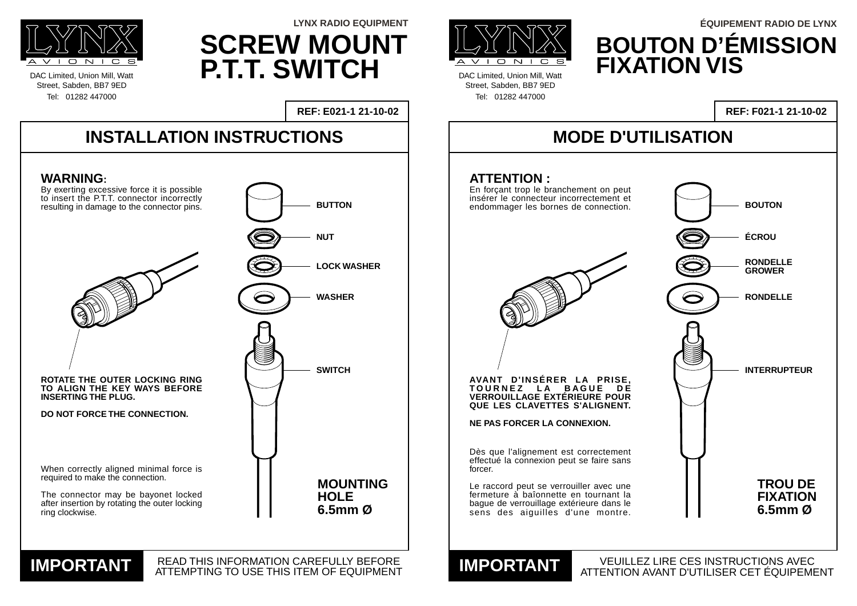Dès que l'alignement est correctement effectué la connexion peut se faire sans forcer.

Le raccord peut se verrouiller avec une fermeture à baîonnette en tournant la bague de verrouillage extérieure dans le sens des aiguilles d'une montre.

DAC Limited, Union Mill, Watt Street, Sabden, BB7 9ED Tel: 01282 447000



DAC Limited, Union Mill, Watt Street, Sabden, BB7 9ED Tel: 01282 447000

**REF: E021-1 21-10-02**





## **MODE D'UTILISATION**

VEUILLEZ LIRE CES INSTRUCTIONS AVEC ATTENTION AVANT D'UTILISER CET ÉQUIPEMENT **IMPORTANT**

# **REF: F021-1 21-10-02**

# **SCREW MOUNT P.T.T. SWITCH**



**IMPORTANT READ THIS INFORMATION CAREFULLY BEFORE**<br>ATTEMPTING TO USE THIS ITEM OF EQUIPMENT

# **BOUTON D'ÉMISSION FIXATION VIS LYNX RADIO EQUIPMENT ÉQUIPEMENT RADIO DE LYNX**

**ATTENTION :**

En forçant trop le branchement on peut insérer le connecteur incorrectement et endommager les bornes de connection. **AVANT D'INSÉRER LA PRISE, TOURNEZ LA BAGUE DE VERROUILLAGE EXTÉRIEURE POUR QUE LES CLAVETTES S'ALIGNENT.**



# **ÉCROU RONDELLE**

**NE PAS FORCER LA CONNEXION.**